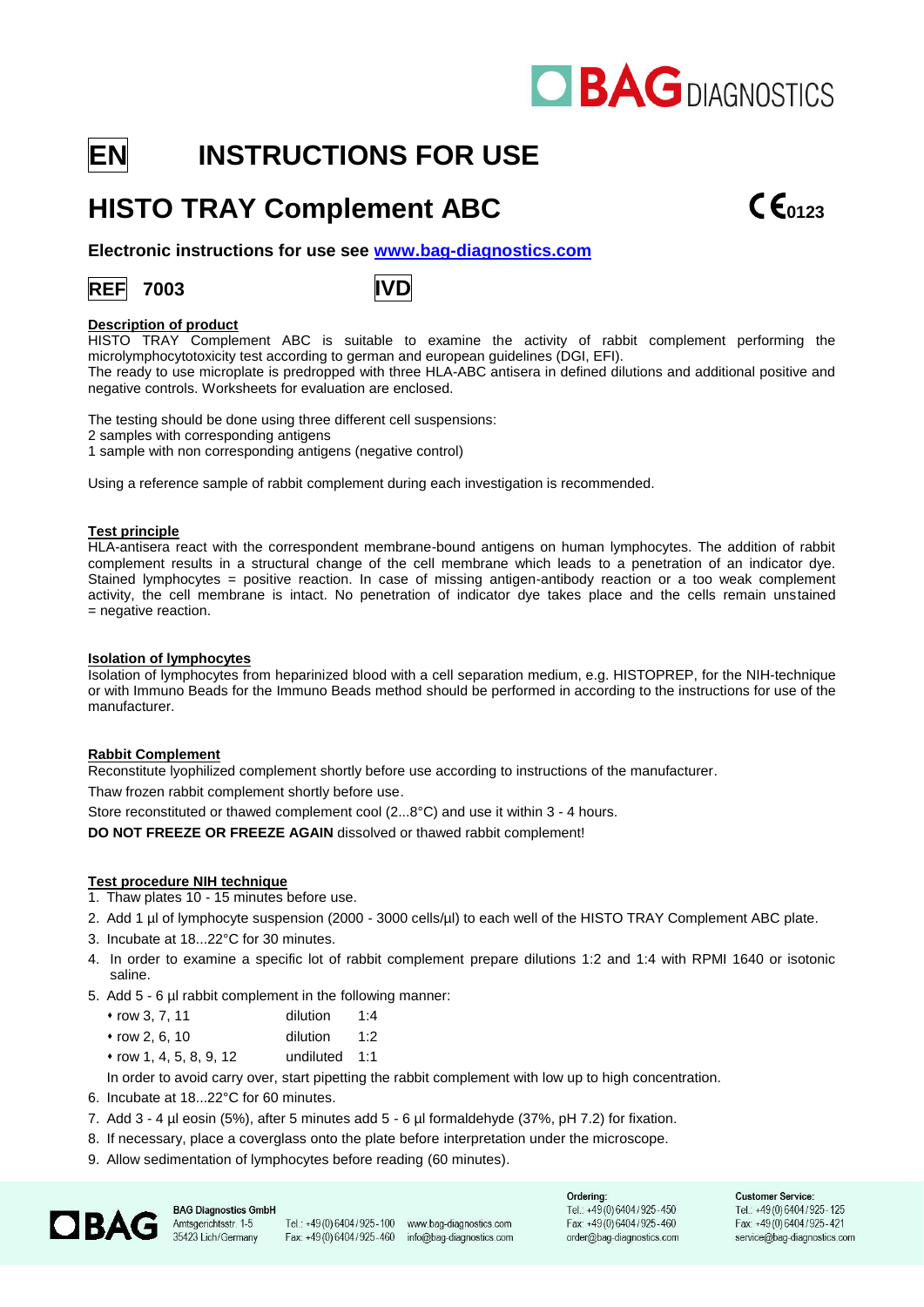# **OBAGDIAGNOSTICS**

## **EN INSTRUCTIONS FOR USE**

### **HISTO TRAY Complement ABC CE**<sub>0123</sub>

**Electronic instructions for use see [www.bag-diagnostics.com](http://www.bag-diagnostics.com/)**

### **REF 7003 IVD**



#### **Description of product**

HISTO TRAY Complement ABC is suitable to examine the activity of rabbit complement performing the microlymphocytotoxicity test according to german and european guidelines (DGI, EFI).

The ready to use microplate is predropped with three HLA-ABC antisera in defined dilutions and additional positive and negative controls. Worksheets for evaluation are enclosed.

The testing should be done using three different cell suspensions:

2 samples with corresponding antigens

1 sample with non corresponding antigens (negative control)

Using a reference sample of rabbit complement during each investigation is recommended.

#### **Test principle**

HLA-antisera react with the correspondent membrane-bound antigens on human lymphocytes. The addition of rabbit complement results in a structural change of the cell membrane which leads to a penetration of an indicator dye. Stained lymphocytes = positive reaction. In case of missing antigen-antibody reaction or a too weak complement activity, the cell membrane is intact. No penetration of indicator dye takes place and the cells remain unstained = negative reaction.

#### **Isolation of lymphocytes**

Isolation of lymphocytes from heparinized blood with a cell separation medium, e.g. HISTOPREP, for the NIH-technique or with Immuno Beads for the Immuno Beads method should be performed in according to the instructions for use of the manufacturer.

#### **Rabbit Complement**

Reconstitute lyophilized complement shortly before use according to instructions of the manufacturer.

Thaw frozen rabbit complement shortly before use.

Store reconstituted or thawed complement cool (2...8°C) and use it within 3 - 4 hours.

**DO NOT FREEZE OR FREEZE AGAIN** dissolved or thawed rabbit complement!

#### **Test procedure NIH technique**

- 1. Thaw plates 10 15 minutes before use.
- 2. Add 1 µl of lymphocyte suspension (2000 3000 cells/µl) to each well of the HISTO TRAY Complement ABC plate.
- 3. Incubate at 18...22°C for 30 minutes.
- 4. In order to examine a specific lot of rabbit complement prepare dilutions 1:2 and 1:4 with RPMI 1640 or isotonic saline.
- 5. Add 5 6 µl rabbit complement in the following manner:
	- ⬧ row 3, 7, 11 dilution 1:4
	- ⬧ row 2, 6, 10 dilution 1:2
	- ⬧ row 1, 4, 5, 8, 9, 12 undiluted 1:1

In order to avoid carry over, start pipetting the rabbit complement with low up to high concentration.

- 6. Incubate at 18...22°C for 60 minutes.
- 7. Add 3 4 µl eosin (5%), after 5 minutes add 5 6 µl formaldehyde (37%, pH 7.2) for fixation.
- 8. If necessary, place a coverglass onto the plate before interpretation under the microscope.
- 9. Allow sedimentation of lymphocytes before reading (60 minutes).



**BAG Diagnostics GmbH** Amtsgerichtsstr. 1-5 35423 Lich/Germany

Tel.: +49(0)6404/925-100 www.bag-diagnostics.com Fax: +49(0)6404/925-460

info@bag-diagnostics.com

Ordering: Tel.: +49(0)6404/925-450 Fax: +49 (0) 6404 / 925 - 460 order@bag-diagnostics.com **Customer Service:** Tel.: +49(0)6404/925-125 Fax: +49(0)6404/925-421 service@bag-diagnostics.com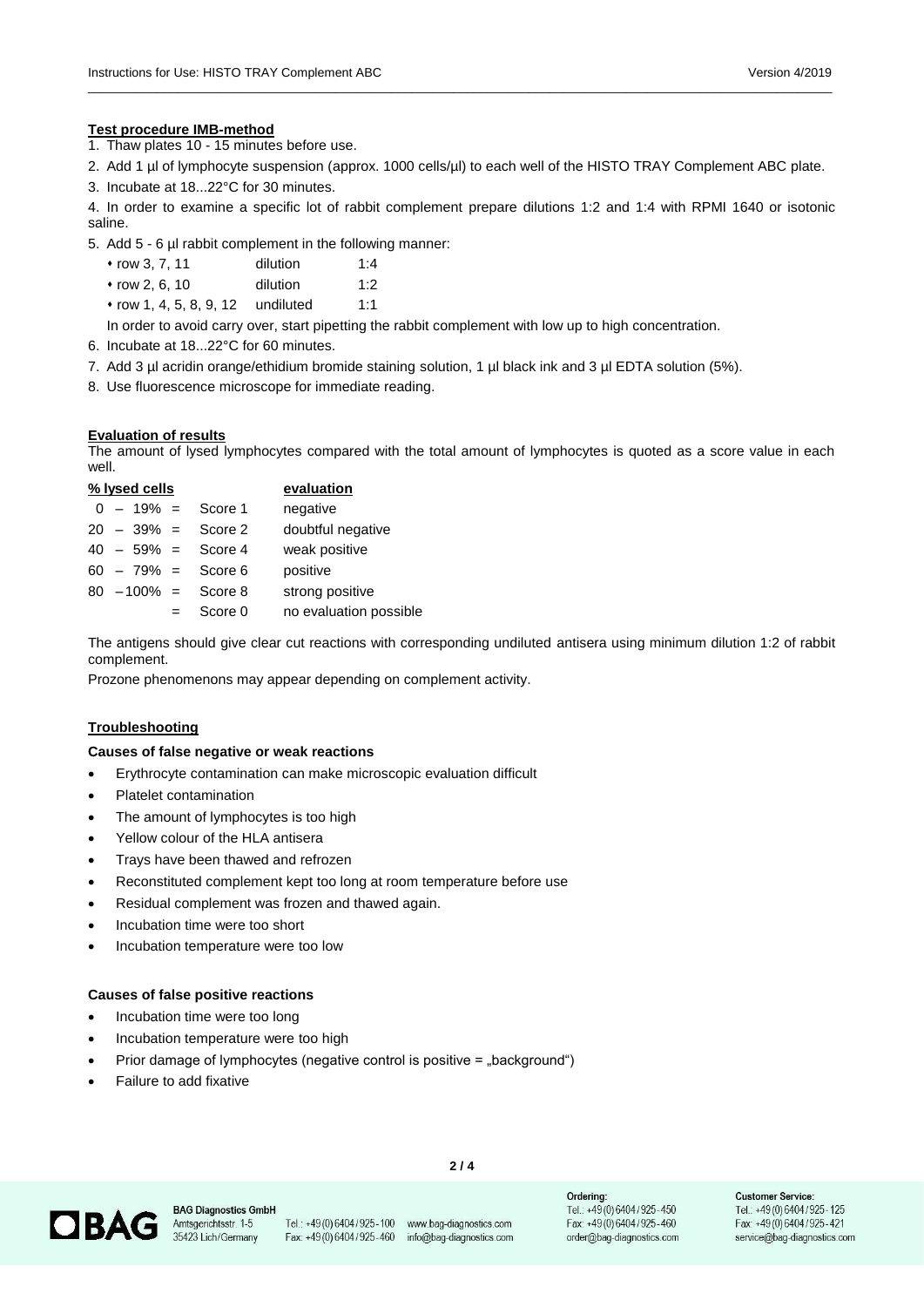#### **Test procedure IMB-method**

- 1. Thaw plates 10 15 minutes before use.
- 2. Add 1 µl of lymphocyte suspension (approx. 1000 cells/µl) to each well of the HISTO TRAY Complement ABC plate.

\_\_\_\_\_\_\_\_\_\_\_\_\_\_\_\_\_\_\_\_\_\_\_\_\_\_\_\_\_\_\_\_\_\_\_\_\_\_\_\_\_\_\_\_\_\_\_\_\_\_\_\_\_\_\_\_\_\_\_\_\_\_\_\_\_\_\_\_\_\_\_\_\_\_\_\_\_\_\_\_\_\_\_\_\_\_\_\_\_\_\_\_\_\_\_\_\_\_\_\_\_\_\_\_\_\_\_\_

3. Incubate at 18...22°C for 30 minutes.

4. In order to examine a specific lot of rabbit complement prepare dilutions 1:2 and 1:4 with RPMI 1640 or isotonic saline.

- 5. Add 5 6 µl rabbit complement in the following manner:
	- ⬧ row 3, 7, 11 dilution 1:4
	- ⬧ row 2, 6, 10 dilution 1:2
	- ⬧ row 1, 4, 5, 8, 9, 12 undiluted 1:1
- In order to avoid carry over, start pipetting the rabbit complement with low up to high concentration.
- 6. Incubate at 18...22°C for 60 minutes.
- 7. Add 3 µl acridin orange/ethidium bromide staining solution, 1 µl black ink and 3 µl EDTA solution (5%).
- 8. Use fluorescence microscope for immediate reading.

#### **Evaluation of results**

The amount of lysed lymphocytes compared with the total amount of lymphocytes is quoted as a score value in each well.

|  | % lysed cells |                        | evaluation             |
|--|---------------|------------------------|------------------------|
|  |               | $0 - 19\% =$ Score 1   | negative               |
|  | $20 - 39\% =$ | Score 2                | doubtful negative      |
|  |               | $40 - 59\% =$ Score 4  | weak positive          |
|  |               | $60 - 79\% =$ Score 6  | positive               |
|  |               | $80 - 100\% =$ Score 8 | strong positive        |
|  |               | Score 0                | no evaluation possible |

The antigens should give clear cut reactions with corresponding undiluted antisera using minimum dilution 1:2 of rabbit complement.

Prozone phenomenons may appear depending on complement activity.

#### **Troubleshooting**

#### **Causes of false negative or weak reactions**

- Erythrocyte contamination can make microscopic evaluation difficult
- Platelet contamination
- The amount of lymphocytes is too high
- Yellow colour of the HLA antisera
- Trays have been thawed and refrozen
- Reconstituted complement kept too long at room temperature before use
- Residual complement was frozen and thawed again.
- Incubation time were too short
- Incubation temperature were too low

#### **Causes of false positive reactions**

- Incubation time were too long
- Incubation temperature were too high
- Prior damage of lymphocytes (negative control is positive = "background")
- Failure to add fixative



**BAG Diagnostics GmbH** Amtsgerichtsstr. 1-5 35423 Lich/Germany

Fax: +49(0)6404/925-460 info@bag-diagnostics.com

Tel.: +49(0)6404/925-100 www.bag-diagnostics.com

**2 / 4**

Ordering: Tel.: +49(0)6404/925-450 Fax: +49(0)6404/925-460 order@bag-diagnostics.com **Customer Service:** Tel.: +49(0)6404/925-125 Fax: +49(0)6404/925-421 service@bag-diagnostics.com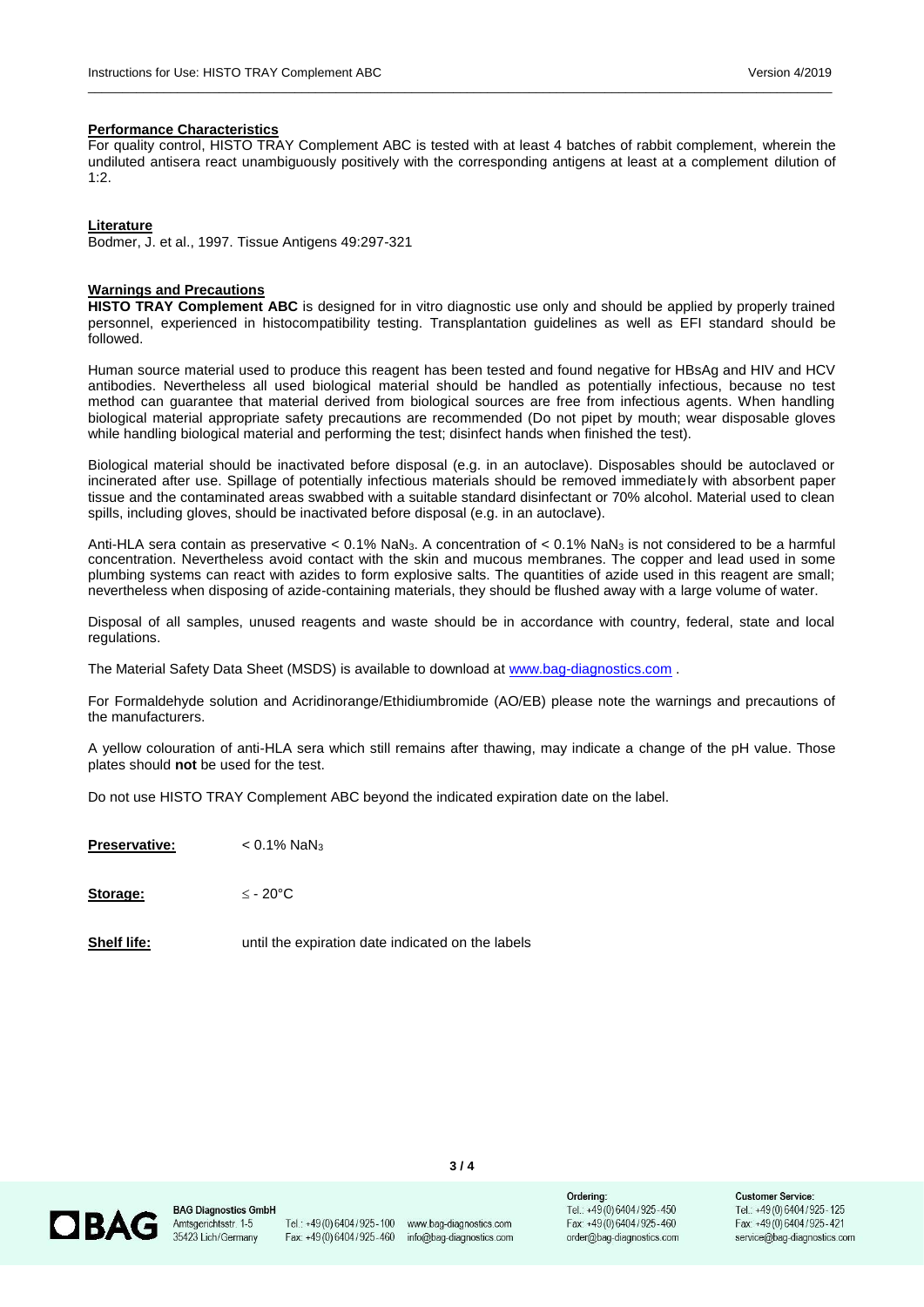#### **Performance Characteristics**

For quality control, HISTO TRAY Complement ABC is tested with at least 4 batches of rabbit complement, wherein the undiluted antisera react unambiguously positively with the corresponding antigens at least at a complement dilution of 1:2.

\_\_\_\_\_\_\_\_\_\_\_\_\_\_\_\_\_\_\_\_\_\_\_\_\_\_\_\_\_\_\_\_\_\_\_\_\_\_\_\_\_\_\_\_\_\_\_\_\_\_\_\_\_\_\_\_\_\_\_\_\_\_\_\_\_\_\_\_\_\_\_\_\_\_\_\_\_\_\_\_\_\_\_\_\_\_\_\_\_\_\_\_\_\_\_\_\_\_\_\_\_\_\_\_\_\_\_\_

#### **Literature**

Bodmer, J. et al., 1997. Tissue Antigens 49:297-321

#### **Warnings and Precautions**

**HISTO TRAY Complement ABC** is designed for in vitro diagnostic use only and should be applied by properly trained personnel, experienced in histocompatibility testing. Transplantation guidelines as well as EFI standard should be followed.

Human source material used to produce this reagent has been tested and found negative for HBsAg and HIV and HCV antibodies. Nevertheless all used biological material should be handled as potentially infectious, because no test method can guarantee that material derived from biological sources are free from infectious agents. When handling biological material appropriate safety precautions are recommended (Do not pipet by mouth; wear disposable gloves while handling biological material and performing the test; disinfect hands when finished the test).

Biological material should be inactivated before disposal (e.g. in an autoclave). Disposables should be autoclaved or incinerated after use. Spillage of potentially infectious materials should be removed immediately with absorbent paper tissue and the contaminated areas swabbed with a suitable standard disinfectant or 70% alcohol. Material used to clean spills, including gloves, should be inactivated before disposal (e.g. in an autoclave).

Anti-HLA sera contain as preservative < 0.1% NaN3. A concentration of < 0.1% NaN<sup>3</sup> is not considered to be a harmful concentration. Nevertheless avoid contact with the skin and mucous membranes. The copper and lead used in some plumbing systems can react with azides to form explosive salts. The quantities of azide used in this reagent are small; nevertheless when disposing of azide-containing materials, they should be flushed away with a large volume of water.

Disposal of all samples, unused reagents and waste should be in accordance with country, federal, state and local regulations.

The Material Safety Data Sheet (MSDS) is available to download at [www.bag-diagnostics.com](http://www.bag-diagnostics.com/) .

For Formaldehyde solution and Acridinorange/Ethidiumbromide (AO/EB) please note the warnings and precautions of the manufacturers.

A yellow colouration of anti-HLA sera which still remains after thawing, may indicate a change of the pH value. Those plates should **not** be used for the test.

Do not use HISTO TRAY Complement ABC beyond the indicated expiration date on the label.

**Preservative:** < 0.1% NaN<sup>3</sup>

**Storage:**  $\leq$  - 20 $^{\circ}$ C

**Shelf life:** until the expiration date indicated on the labels



**BAG Diagnostics GmbH** Amtsgerichtsstr. 1-5 35423 Lich/Germany

Fax: +49(0)6404/925-460

Tel.: +49(0)6404/925-100 www.bag-diagnostics.com info@bag-diagnostics.com

**3 / 4**

Ordering: Tel.: +49(0)6404/925-450 Fax: +49(0)6404/925-460 order@bag-diagnostics.com Customer Service: Tel.: +49(0)6404/925-125 Fax: +49(0)6404/925-421 service@bag-diagnostics.com